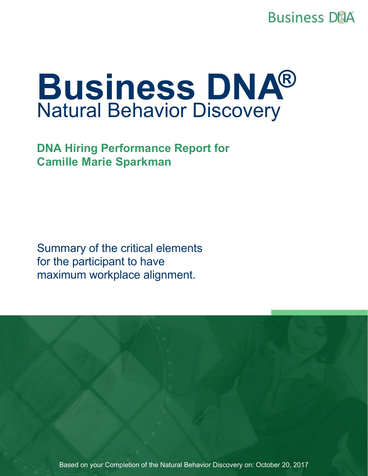**Business D</u>IA** 

# **Business DNA®** Natural Behavior Discovery

**DNA Hiring Performance Report for Camille Marie Sparkman**

Summary of the critical elements for the participant to have maximum workplace alignment.

Based on your Completion of the Natural Behavior Discovery on: October 20, 2017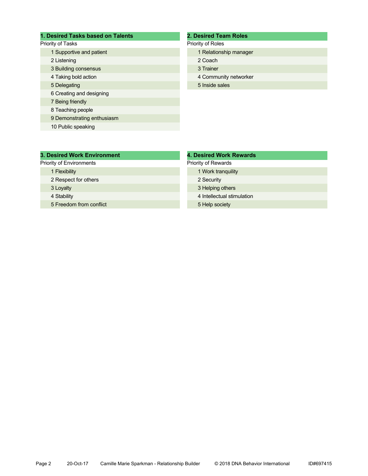# **1. Desired Tasks based on Talents 2. Desired Team Roles**

# Priority of Tasks

- 1 Supportive and patient
- 2 Listening
- 3 Building consensus
- 4 Taking bold action
- 5 Delegating
- 6 Creating and designing
- 7 Being friendly
- 8 Teaching people
- 9 Demonstrating enthusiasm
- 10 Public speaking

# Priority of Roles

- 1 Relationship manager
- 2 Coach
- 3 Trainer
- 4 Community networker
- 5 Inside sales

## **3. Desired Work Environment 4. Desired Work Rewards**

## Priority of Environments

## 1 Flexibility

- 2 Respect for others
- 3 Loyalty
- 4 Stability
- 5 Freedom from conflict

# Priority of Rewards

- 1 Work tranquility
- 2 Security
- 3 Helping others
- 4 Intellectual stimulation
- 5 Help society